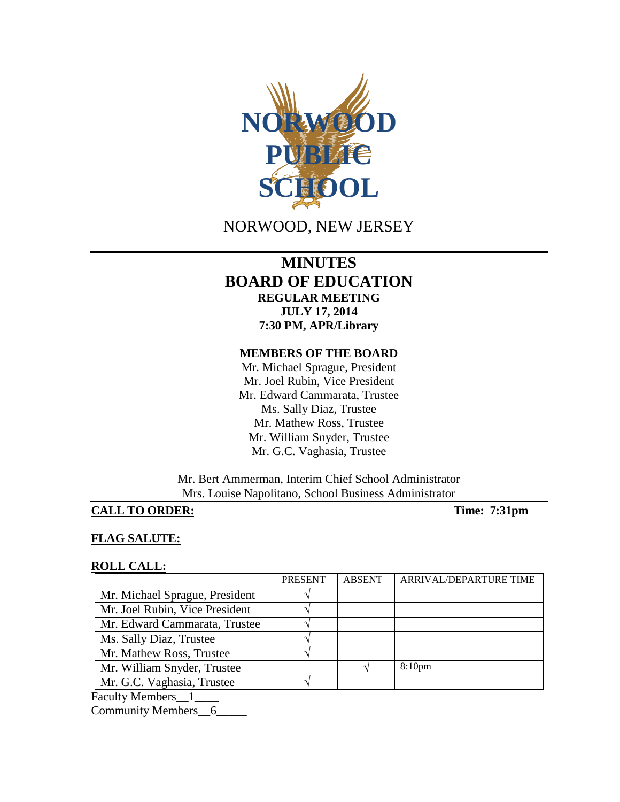

# NORWOOD, NEW JERSEY

# **MINUTES BOARD OF EDUCATION REGULAR MEETING JULY 17, 2014 7:30 PM, APR/Library**

#### **MEMBERS OF THE BOARD**

Mr. Michael Sprague, President Mr. Joel Rubin, Vice President Mr. Edward Cammarata, Trustee Ms. Sally Diaz, Trustee Mr. Mathew Ross, Trustee Mr. William Snyder, Trustee Mr. G.C. Vaghasia, Trustee

Mr. Bert Ammerman, Interim Chief School Administrator Mrs. Louise Napolitano, School Business Administrator

# **CALL TO ORDER:** Time: 7:31pm

### **FLAG SALUTE:**

#### **ROLL CALL:**

|                                | <b>PRESENT</b> | <b>ABSENT</b> | ARRIVAL/DEPARTURE TIME |
|--------------------------------|----------------|---------------|------------------------|
| Mr. Michael Sprague, President |                |               |                        |
| Mr. Joel Rubin, Vice President |                |               |                        |
| Mr. Edward Cammarata, Trustee  |                |               |                        |
| Ms. Sally Diaz, Trustee        |                |               |                        |
| Mr. Mathew Ross, Trustee       |                |               |                        |
| Mr. William Snyder, Trustee    |                |               | 8:10 <sub>pm</sub>     |
| Mr. G.C. Vaghasia, Trustee     |                |               |                        |
| <b>Faculty Members</b>         |                |               |                        |

Community Members\_6\_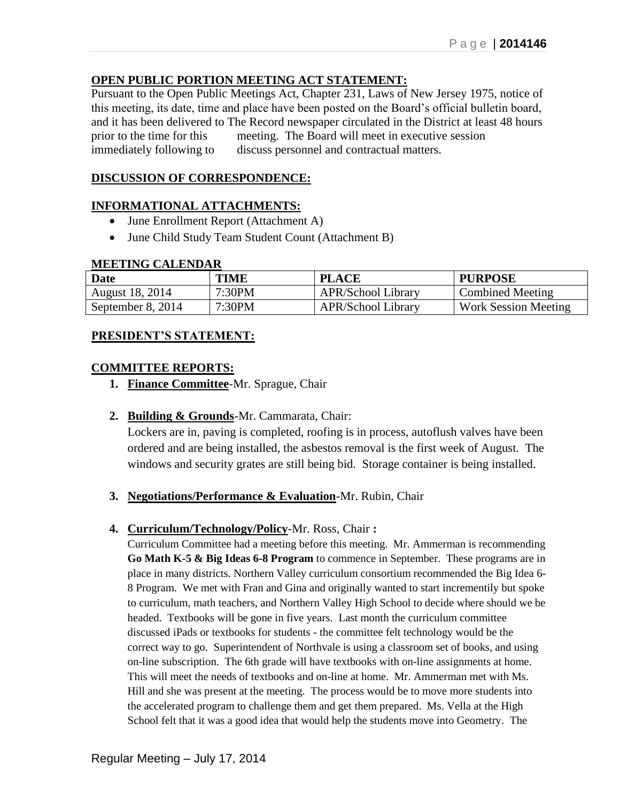### **OPEN PUBLIC PORTION MEETING ACT STATEMENT:**

Pursuant to the Open Public Meetings Act, Chapter 231, Laws of New Jersey 1975, notice of this meeting, its date, time and place have been posted on the Board's official bulletin board, and it has been delivered to The Record newspaper circulated in the District at least 48 hours prior to the time for this meeting. The Board will meet in executive session immediately following to discuss personnel and contractual matters.

### **DISCUSSION OF CORRESPONDENCE:**

### **INFORMATIONAL ATTACHMENTS:**

- June Enrollment Report (Attachment A)
- June Child Study Team Student Count (Attachment B)

#### **MEETING CALENDAR**

| <b>Date</b>       | TIME   | <b>PLACE</b>              | <b>PURPOSE</b>              |
|-------------------|--------|---------------------------|-----------------------------|
| August 18, 2014   | 7:30PM | <b>APR/School Library</b> | Combined Meeting            |
| September 8, 2014 | 7:30PM | <b>APR/School Library</b> | <b>Work Session Meeting</b> |

### **PRESIDENT'S STATEMENT:**

### **COMMITTEE REPORTS:**

**1. Finance Committee**-Mr. Sprague, Chair

### **2. Building & Grounds**-Mr. Cammarata, Chair:

Lockers are in, paving is completed, roofing is in process, autoflush valves have been ordered and are being installed, the asbestos removal is the first week of August. The windows and security grates are still being bid. Storage container is being installed.

**3. Negotiations/Performance & Evaluation**-Mr. Rubin, Chair

### **4. Curriculum/Technology/Policy**-Mr. Ross, Chair **:**

Curriculum Committee had a meeting before this meeting. Mr. Ammerman is recommending **Go Math K-5 & Big Ideas 6-8 Program** to commence in September. These programs are in place in many districts. Northern Valley curriculum consortium recommended the Big Idea 6- 8 Program. We met with Fran and Gina and originally wanted to start incrementily but spoke to curriculum, math teachers, and Northern Valley High School to decide where should we be headed. Textbooks will be gone in five years. Last month the curriculum committee discussed iPads or textbooks for students - the committee felt technology would be the correct way to go. Superintendent of Northvale is using a classroom set of books, and using on-line subscription. The 6th grade will have textbooks with on-line assignments at home. This will meet the needs of textbooks and on-line at home. Mr. Ammerman met with Ms. Hill and she was present at the meeting. The process would be to move more students into the accelerated program to challenge them and get them prepared. Ms. Vella at the High School felt that it was a good idea that would help the students move into Geometry. The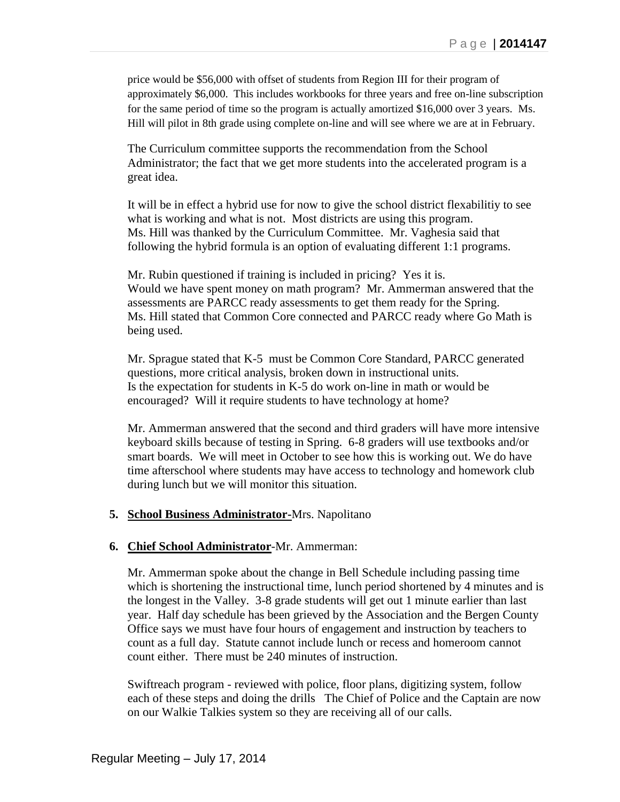price would be \$56,000 with offset of students from Region III for their program of approximately \$6,000. This includes workbooks for three years and free on-line subscription for the same period of time so the program is actually amortized \$16,000 over 3 years. Ms. Hill will pilot in 8th grade using complete on-line and will see where we are at in February.

The Curriculum committee supports the recommendation from the School Administrator; the fact that we get more students into the accelerated program is a great idea.

It will be in effect a hybrid use for now to give the school district flexabilitiy to see what is working and what is not. Most districts are using this program. Ms. Hill was thanked by the Curriculum Committee. Mr. Vaghesia said that following the hybrid formula is an option of evaluating different 1:1 programs.

Mr. Rubin questioned if training is included in pricing? Yes it is. Would we have spent money on math program? Mr. Ammerman answered that the assessments are PARCC ready assessments to get them ready for the Spring. Ms. Hill stated that Common Core connected and PARCC ready where Go Math is being used.

Mr. Sprague stated that K-5 must be Common Core Standard, PARCC generated questions, more critical analysis, broken down in instructional units. Is the expectation for students in K-5 do work on-line in math or would be encouraged? Will it require students to have technology at home?

Mr. Ammerman answered that the second and third graders will have more intensive keyboard skills because of testing in Spring. 6-8 graders will use textbooks and/or smart boards. We will meet in October to see how this is working out. We do have time afterschool where students may have access to technology and homework club during lunch but we will monitor this situation.

#### **5. School Business Administrator-**Mrs. Napolitano

#### **6. Chief School Administrator**-Mr. Ammerman:

Mr. Ammerman spoke about the change in Bell Schedule including passing time which is shortening the instructional time, lunch period shortened by 4 minutes and is the longest in the Valley. 3-8 grade students will get out 1 minute earlier than last year. Half day schedule has been grieved by the Association and the Bergen County Office says we must have four hours of engagement and instruction by teachers to count as a full day. Statute cannot include lunch or recess and homeroom cannot count either. There must be 240 minutes of instruction.

Swiftreach program - reviewed with police, floor plans, digitizing system, follow each of these steps and doing the drills The Chief of Police and the Captain are now on our Walkie Talkies system so they are receiving all of our calls.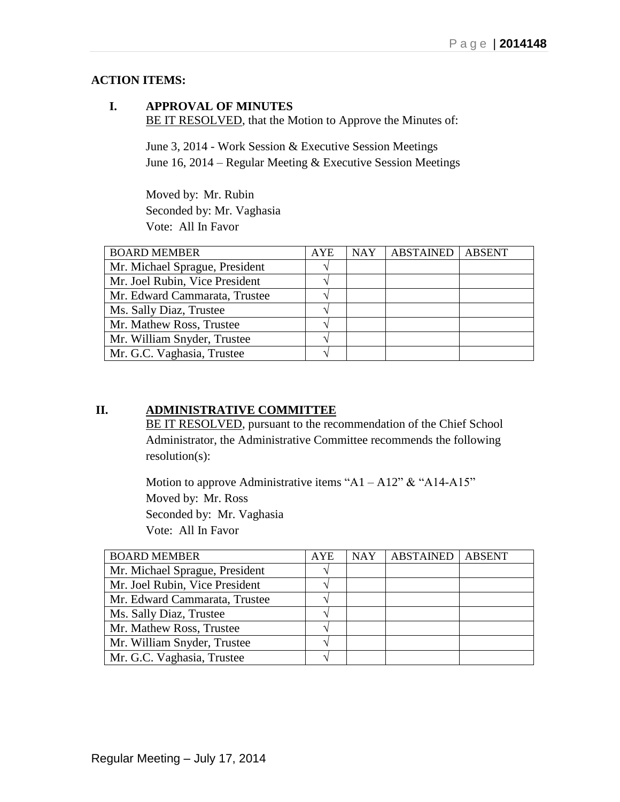# **ACTION ITEMS:**

### **I. APPROVAL OF MINUTES** BE IT RESOLVED, that the Motion to Approve the Minutes of:

June 3, 2014 - Work Session & Executive Session Meetings June 16, 2014 – Regular Meeting & Executive Session Meetings

Moved by: Mr. Rubin Seconded by: Mr. Vaghasia Vote: All In Favor

| <b>BOARD MEMBER</b>            | <b>AYE</b> | <b>NAY</b> | <b>ABSTAINED</b> | <b>ABSENT</b> |
|--------------------------------|------------|------------|------------------|---------------|
| Mr. Michael Sprague, President |            |            |                  |               |
| Mr. Joel Rubin, Vice President |            |            |                  |               |
| Mr. Edward Cammarata, Trustee  |            |            |                  |               |
| Ms. Sally Diaz, Trustee        |            |            |                  |               |
| Mr. Mathew Ross, Trustee       |            |            |                  |               |
| Mr. William Snyder, Trustee    |            |            |                  |               |
| Mr. G.C. Vaghasia, Trustee     |            |            |                  |               |

# **II. ADMINISTRATIVE COMMITTEE**

BE IT RESOLVED, pursuant to the recommendation of the Chief School Administrator, the Administrative Committee recommends the following resolution(s):

Motion to approve Administrative items "A1 – A12"  $&$  "A14-A15" Moved by: Mr. Ross Seconded by: Mr. Vaghasia Vote: All In Favor

| <b>BOARD MEMBER</b>            | <b>AYE</b>    | <b>NAY</b> | <b>ABSTAINED</b> | <b>ABSENT</b> |
|--------------------------------|---------------|------------|------------------|---------------|
| Mr. Michael Sprague, President | $\mathcal{N}$ |            |                  |               |
| Mr. Joel Rubin, Vice President |               |            |                  |               |
| Mr. Edward Cammarata, Trustee  | ٦             |            |                  |               |
| Ms. Sally Diaz, Trustee        |               |            |                  |               |
| Mr. Mathew Ross, Trustee       | $\Delta$      |            |                  |               |
| Mr. William Snyder, Trustee    | $\mathcal{N}$ |            |                  |               |
| Mr. G.C. Vaghasia, Trustee     |               |            |                  |               |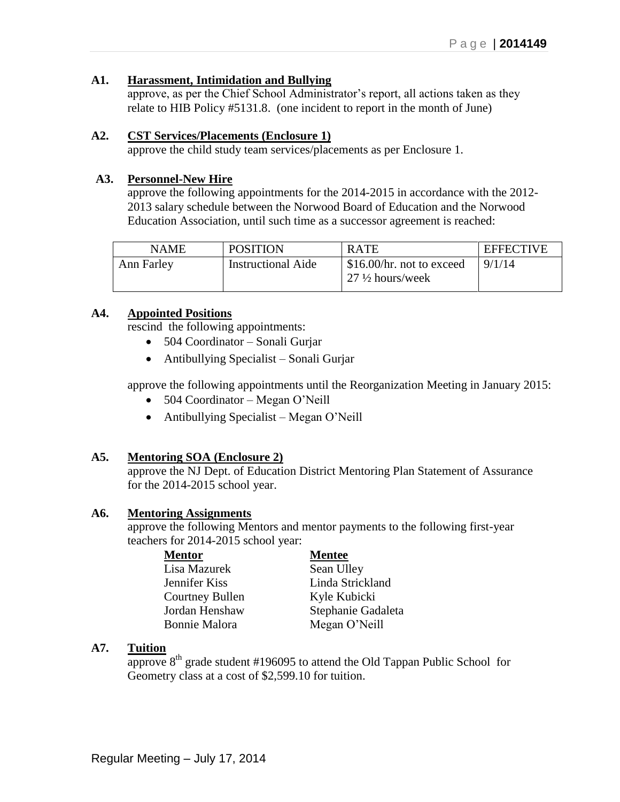### **A1. Harassment, Intimidation and Bullying**

approve, as per the Chief School Administrator's report, all actions taken as they relate to HIB Policy #5131.8. (one incident to report in the month of June)

### **A2. CST Services/Placements (Enclosure 1)**

approve the child study team services/placements as per Enclosure 1.

### **A3. Personnel-New Hire**

approve the following appointments for the 2014-2015 in accordance with the 2012- 2013 salary schedule between the Norwood Board of Education and the Norwood Education Association, until such time as a successor agreement is reached:

| NAME       | <b>POSITION</b>           | <b>RATE</b>                                            | <b>EFFECTIVE</b> |
|------------|---------------------------|--------------------------------------------------------|------------------|
| Ann Farley | <b>Instructional Aide</b> | S16.00/hr. not to exceed<br>$27\frac{1}{2}$ hours/week | 9/1/14           |

### **A4. Appointed Positions**

rescind the following appointments:

- 504 Coordinator Sonali Gurjar
- Antibullying Specialist Sonali Gurjar

approve the following appointments until the Reorganization Meeting in January 2015:

- 504 Coordinator Megan O'Neill
- Antibullying Specialist Megan O'Neill

### **A5. Mentoring SOA (Enclosure 2)**

approve the NJ Dept. of Education District Mentoring Plan Statement of Assurance for the 2014-2015 school year.

#### **A6. Mentoring Assignments**

approve the following Mentors and mentor payments to the following first-year teachers for 2014-2015 school year:

| Mentor               | <b>Mentee</b>      |
|----------------------|--------------------|
| Lisa Mazurek         | Sean Ulley         |
| Jennifer Kiss        | Linda Strickland   |
| Courtney Bullen      | Kyle Kubicki       |
| Jordan Henshaw       | Stephanie Gadaleta |
| <b>Bonnie Malora</b> | Megan O'Neill      |

### **A7. Tuition**

approve  $8<sup>th</sup>$  grade student #196095 to attend the Old Tappan Public School for Geometry class at a cost of \$2,599.10 for tuition.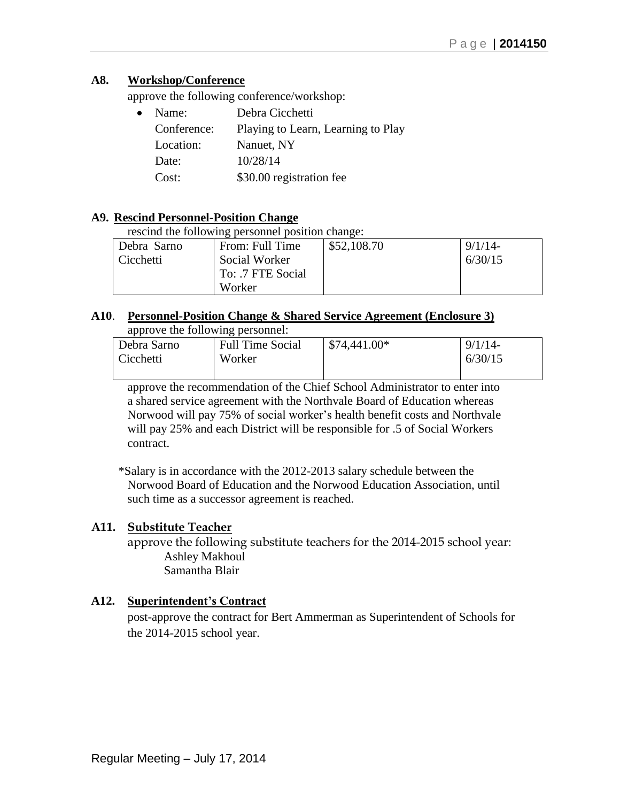### **A8. Workshop/Conference**

approve the following conference/workshop:

| $\bullet$ | Name:       | Debra Cicchetti                    |
|-----------|-------------|------------------------------------|
|           | Conference: | Playing to Learn, Learning to Play |
|           | Location:   | Nanuet, NY                         |
|           | Date:       | 10/28/14                           |
|           | Cost:       | \$30.00 registration fee           |
|           |             |                                    |

### **A9. Rescind Personnel-Position Change**

rescind the following personnel position change:

| Debra Sarno | From: Full Time   | \$52,108.70 | 9/1/14  |
|-------------|-------------------|-------------|---------|
| Cicchetti   | Social Worker     |             | 6/30/15 |
|             | To: .7 FTE Social |             |         |
|             | Worker            |             |         |

#### **A10**. **Personnel-Position Change & Shared Service Agreement (Enclosure 3)** approve the following personnel:

| Debra Sarno | <b>Full Time Social</b> | $\frac{1}{2}$ \$74,441.00* | 9/1/14  |
|-------------|-------------------------|----------------------------|---------|
| Cicchetti   | Worker                  |                            | 6/30/15 |
|             |                         |                            |         |

approve the recommendation of the Chief School Administrator to enter into a shared service agreement with the Northvale Board of Education whereas Norwood will pay 75% of social worker's health benefit costs and Northvale will pay 25% and each District will be responsible for .5 of Social Workers contract.

\*Salary is in accordance with the 2012-2013 salary schedule between the Norwood Board of Education and the Norwood Education Association, until such time as a successor agreement is reached.

### **A11. Substitute Teacher**

approve the following substitute teachers for the 2014-2015 school year: Ashley Makhoul Samantha Blair

### **A12. Superintendent's Contract**

post-approve the contract for Bert Ammerman as Superintendent of Schools for the 2014-2015 school year.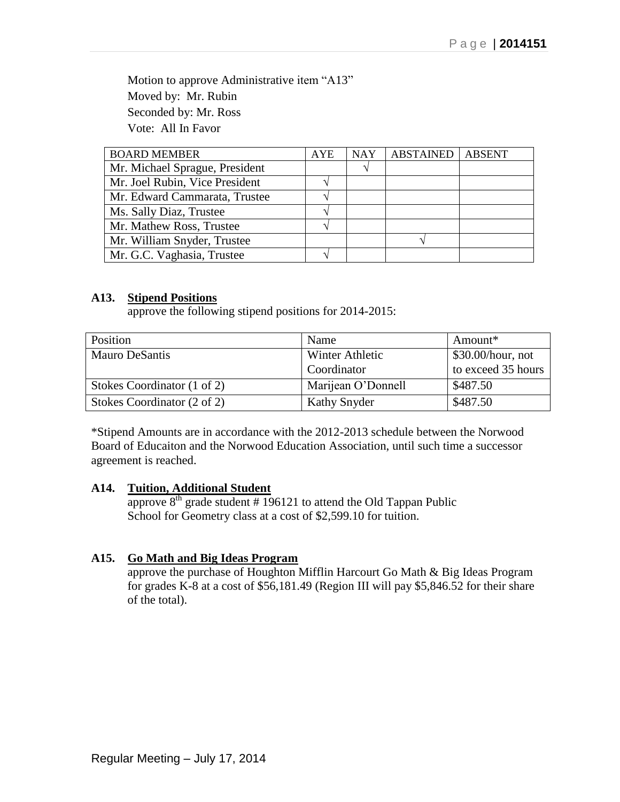Motion to approve Administrative item "A13" Moved by: Mr. Rubin Seconded by: Mr. Ross Vote: All In Favor

| <b>BOARD MEMBER</b>            | <b>AYE</b> | <b>NAY</b> | <b>ABSTAINED</b> | <b>ABSENT</b> |
|--------------------------------|------------|------------|------------------|---------------|
| Mr. Michael Sprague, President |            |            |                  |               |
| Mr. Joel Rubin, Vice President |            |            |                  |               |
| Mr. Edward Cammarata, Trustee  |            |            |                  |               |
| Ms. Sally Diaz, Trustee        |            |            |                  |               |
| Mr. Mathew Ross, Trustee       |            |            |                  |               |
| Mr. William Snyder, Trustee    |            |            |                  |               |
| Mr. G.C. Vaghasia, Trustee     |            |            |                  |               |

### **A13. Stipend Positions**

approve the following stipend positions for 2014-2015:

| Position                    | Name                | Amount*            |
|-----------------------------|---------------------|--------------------|
| <b>Mauro DeSantis</b>       | Winter Athletic     | \$30.00/hour, not  |
|                             | Coordinator         | to exceed 35 hours |
| Stokes Coordinator (1 of 2) | Marijean O'Donnell  | \$487.50           |
| Stokes Coordinator (2 of 2) | <b>Kathy Snyder</b> | \$487.50           |

\*Stipend Amounts are in accordance with the 2012-2013 schedule between the Norwood Board of Educaiton and the Norwood Education Association, until such time a successor agreement is reached.

#### **A14. Tuition, Additional Student**

approve  $8<sup>th</sup>$  grade student # 196121 to attend the Old Tappan Public School for Geometry class at a cost of \$2,599.10 for tuition.

#### **A15. Go Math and Big Ideas Program**

approve the purchase of Houghton Mifflin Harcourt Go Math & Big Ideas Program for grades K-8 at a cost of \$56,181.49 (Region III will pay \$5,846.52 for their share of the total).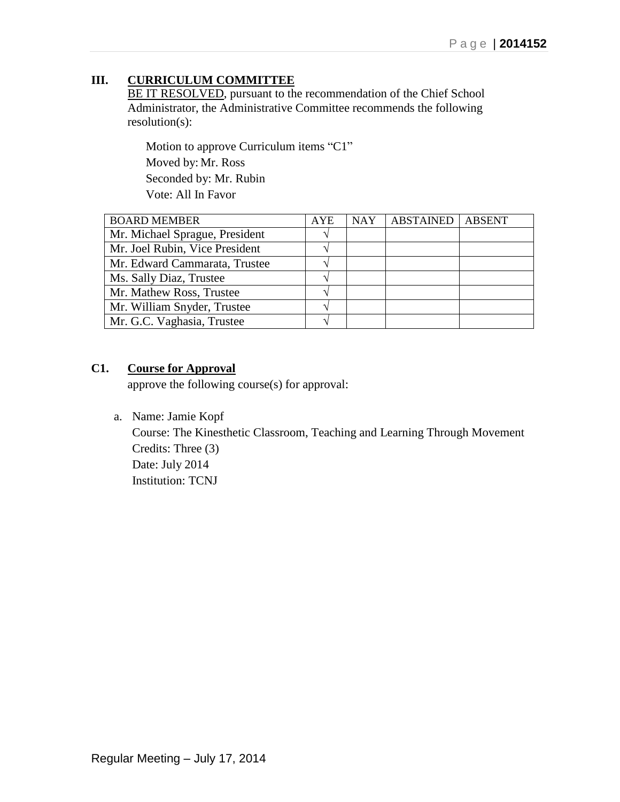# **III. CURRICULUM COMMITTEE**

BE IT RESOLVED, pursuant to the recommendation of the Chief School Administrator, the Administrative Committee recommends the following resolution(s):

Motion to approve Curriculum items "C1" Moved by: Mr. Ross Seconded by: Mr. Rubin Vote: All In Favor

| <b>BOARD MEMBER</b>            | <b>AYE</b>        | <b>NAY</b> | <b>ABSTAINED</b> | <b>ABSENT</b> |
|--------------------------------|-------------------|------------|------------------|---------------|
| Mr. Michael Sprague, President | ٦                 |            |                  |               |
| Mr. Joel Rubin, Vice President |                   |            |                  |               |
| Mr. Edward Cammarata, Trustee  |                   |            |                  |               |
| Ms. Sally Diaz, Trustee        |                   |            |                  |               |
| Mr. Mathew Ross, Trustee       |                   |            |                  |               |
| Mr. William Snyder, Trustee    | $\mathbf \Lambda$ |            |                  |               |
| Mr. G.C. Vaghasia, Trustee     |                   |            |                  |               |

# **C1. Course for Approval**

approve the following course(s) for approval:

a. Name: Jamie Kopf

Course: The Kinesthetic Classroom, Teaching and Learning Through Movement Credits: Three (3) Date: July 2014 Institution: TCNJ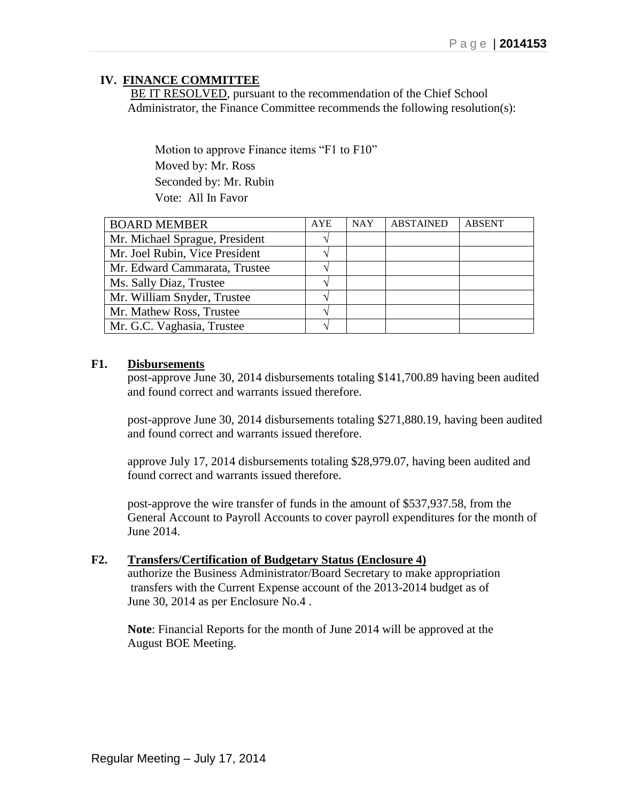### **IV. FINANCE COMMITTEE**

BE IT RESOLVED, pursuant to the recommendation of the Chief School Administrator, the Finance Committee recommends the following resolution(s):

Motion to approve Finance items "F1 to F10" Moved by: Mr. Ross Seconded by: Mr. Rubin Vote: All In Favor

| <b>BOARD MEMBER</b>            | <b>AYE</b>        | <b>NAY</b> | <b>ABSTAINED</b> | <b>ABSENT</b> |
|--------------------------------|-------------------|------------|------------------|---------------|
| Mr. Michael Sprague, President |                   |            |                  |               |
| Mr. Joel Rubin, Vice President |                   |            |                  |               |
| Mr. Edward Cammarata, Trustee  |                   |            |                  |               |
| Ms. Sally Diaz, Trustee        | $\mathcal{N}_l$   |            |                  |               |
| Mr. William Snyder, Trustee    |                   |            |                  |               |
| Mr. Mathew Ross, Trustee       | ٦                 |            |                  |               |
| Mr. G.C. Vaghasia, Trustee     | $\mathcal{L}_{l}$ |            |                  |               |

### **F1. Disbursements**

post-approve June 30, 2014 disbursements totaling \$141,700.89 having been audited and found correct and warrants issued therefore.

post-approve June 30, 2014 disbursements totaling \$271,880.19, having been audited and found correct and warrants issued therefore.

approve July 17, 2014 disbursements totaling \$28,979.07, having been audited and found correct and warrants issued therefore.

post-approve the wire transfer of funds in the amount of \$537,937.58, from the General Account to Payroll Accounts to cover payroll expenditures for the month of June 2014.

#### **F2. Transfers/Certification of Budgetary Status (Enclosure 4)**

authorize the Business Administrator/Board Secretary to make appropriation transfers with the Current Expense account of the 2013-2014 budget as of June 30, 2014 as per Enclosure No.4 .

**Note**: Financial Reports for the month of June 2014 will be approved at the August BOE Meeting.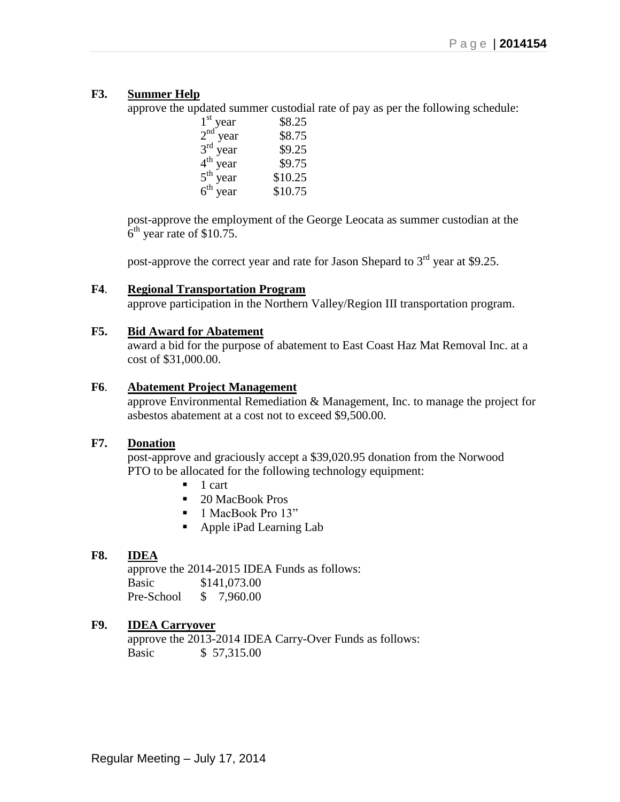### **F3. Summer Help**

approve the updated summer custodial rate of pay as per the following schedule:

| $1st$ year           | \$8.25  |
|----------------------|---------|
| $2nd$ year           | \$8.75  |
| $3rd$ year           | \$9.25  |
| 4 <sup>th</sup> year | \$9.75  |
| $5^{\text{th}}$ year | \$10.25 |
| $6th$ year           | \$10.75 |

post-approve the employment of the George Leocata as summer custodian at the  $6<sup>th</sup>$  year rate of \$10.75.

post-approve the correct year and rate for Jason Shepard to  $3<sup>rd</sup>$  year at \$9.25.

#### **F4**. **Regional Transportation Program**

approve participation in the Northern Valley/Region III transportation program.

#### **F5. Bid Award for Abatement**

award a bid for the purpose of abatement to East Coast Haz Mat Removal Inc. at a cost of \$31,000.00.

#### **F6**. **Abatement Project Management**

approve Environmental Remediation & Management, Inc. to manage the project for asbestos abatement at a cost not to exceed \$9,500.00.

### **F7. Donation**

post-approve and graciously accept a \$39,020.95 donation from the Norwood PTO to be allocated for the following technology equipment:

- $\blacksquare$  1 cart
- 20 MacBook Pros
- 1 MacBook Pro 13"
- Apple iPad Learning Lab

#### **F8. IDEA**

approve the 2014-2015 IDEA Funds as follows: Basic \$141,073.00 Pre-School \$ 7,960.00

### **F9. IDEA Carryover**

approve the 2013-2014 IDEA Carry-Over Funds as follows: Basic \$ 57,315.00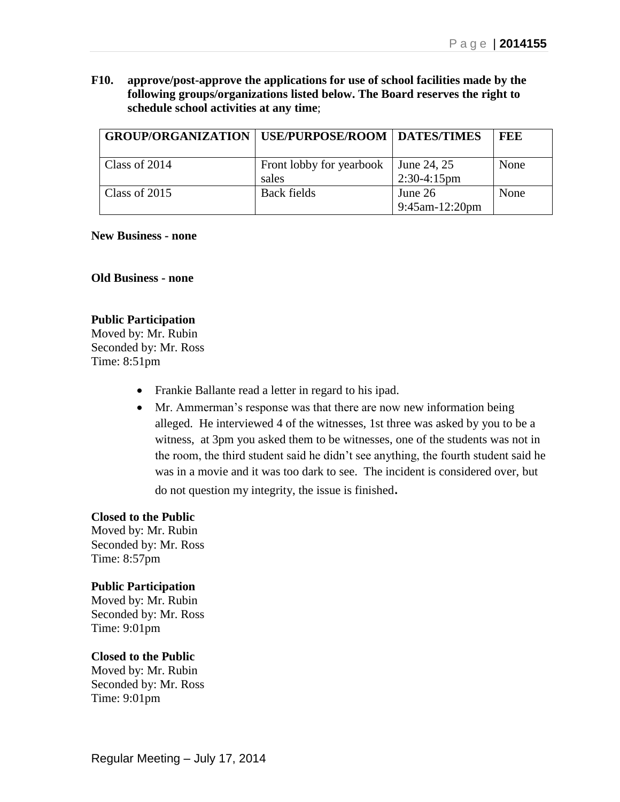**F10. approve/post-approve the applications for use of school facilities made by the following groups/organizations listed below. The Board reserves the right to schedule school activities at any time**;

| <b>GROUP/ORGANIZATION   USE/PURPOSE/ROOM   DATES/TIMES</b> |                                   |                                  | FEE  |
|------------------------------------------------------------|-----------------------------------|----------------------------------|------|
| Class of 2014                                              | Front lobby for yearbook<br>sales | June 24, 25<br>$2:30-4:15$ pm    | None |
| Class of 2015                                              | <b>Back fields</b>                | June 26<br>$9:45$ am- $12:20$ pm | None |

#### **New Business - none**

**Old Business - none**

#### **Public Participation**

Moved by: Mr. Rubin Seconded by: Mr. Ross Time: 8:51pm

- Frankie Ballante read a letter in regard to his ipad.
- Mr. Ammerman's response was that there are now new information being alleged. He interviewed 4 of the witnesses, 1st three was asked by you to be a witness, at 3pm you asked them to be witnesses, one of the students was not in the room, the third student said he didn't see anything, the fourth student said he was in a movie and it was too dark to see. The incident is considered over, but do not question my integrity, the issue is finished.

#### **Closed to the Public**

Moved by: Mr. Rubin Seconded by: Mr. Ross Time: 8:57pm

#### **Public Participation**

Moved by: Mr. Rubin Seconded by: Mr. Ross Time: 9:01pm

#### **Closed to the Public**

Moved by: Mr. Rubin Seconded by: Mr. Ross Time: 9:01pm